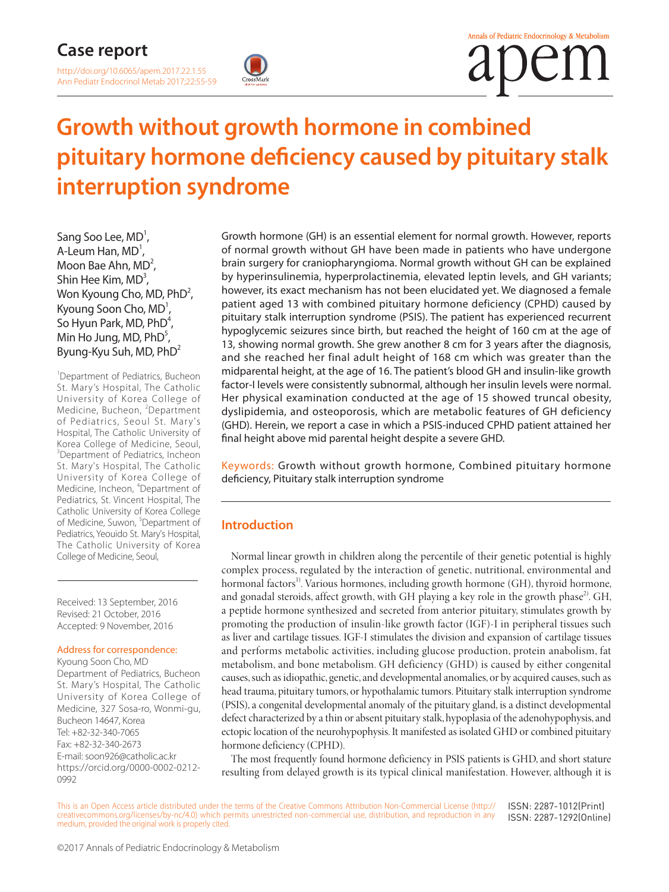

# **Growth without growth hormone in combined pituitary hormone deficiency caused by pituitary stalk interruption syndrome**

Sang Soo Lee, MD $^1$ , A-Leum Han,  $\mathsf{MD}^1$ , Moon Bae Ahn,  $MD<sup>2</sup>$ , Shin Hee Kim, MD $^3$ , Won Kyoung Cho, MD,  $PhD<sup>2</sup>$ , Kyoung Soon Cho,  $MD<sup>1</sup>$ , So Hyun Park, MD,  $PhD<sup>4</sup>$ , Min Ho Jung, MD,  $PhD<sup>5</sup>$ , Byung-Kyu Suh, MD, PhD<sup>2</sup>

<sup>1</sup>Department of Pediatrics, Bucheon St. Mary's Hospital, The Catholic University of Korea College of Medicine, Bucheon, <sup>2</sup>Department of Pediatrics, Seoul St. Mary's Hospital, The Catholic University of Korea College of Medicine, Seoul, <sup>3</sup>Department of Pediatrics, Incheon St. Mary's Hospital, The Catholic University of Korea College of Medicine, Incheon, <sup>4</sup>Department of Pediatrics, St. Vincent Hospital, The Catholic University of Korea College of Medicine, Suwon, <sup>5</sup>Department of Pediatrics, Yeouido St. Mary's Hospital, The Catholic University of Korea College of Medicine, Seoul,

Received: 13 September, 2016 Revised: 21 October, 2016 Accepted: 9 November, 2016

Address for correspondence:

Kyoung Soon Cho, MD Department of Pediatrics, Bucheon St. Mary's Hospital, The Catholic University of Korea College of Medicine, 327 Sosa-ro, Wonmi-gu, Bucheon 14647, Korea Tel: +82-32-340-7065 Fax: +82-32-340-2673 E-mail: soon926@catholic.ac.kr https://orcid.org/0000-0002-0212- 0992

Growth hormone (GH) is an essential element for normal growth. However, reports of normal growth without GH have been made in patients who have undergone brain surgery for craniopharyngioma. Normal growth without GH can be explained by hyperinsulinemia, hyperprolactinemia, elevated leptin levels, and GH variants; however, its exact mechanism has not been elucidated yet. We diagnosed a female patient aged 13 with combined pituitary hormone deficiency (CPHD) caused by pituitary stalk interruption syndrome (PSIS). The patient has experienced recurrent hypoglycemic seizures since birth, but reached the height of 160 cm at the age of 13, showing normal growth. She grew another 8 cm for 3 years after the diagnosis, and she reached her final adult height of 168 cm which was greater than the midparental height, at the age of 16. The patient's blood GH and insulin-like growth factor-I levels were consistently subnormal, although her insulin levels were normal. Her physical examination conducted at the age of 15 showed truncal obesity, dyslipidemia, and osteoporosis, which are metabolic features of GH deficiency (GHD). Herein, we report a case in which a PSIS-induced CPHD patient attained her final height above mid parental height despite a severe GHD.

Keywords: Growth without growth hormone, Combined pituitary hormone deficiency, Pituitary stalk interruption syndrome

## **Introduction**

Normal linear growth in children along the percentile of their genetic potential is highly complex process, regulated by the interaction of genetic, nutritional, environmental and hormonal factors<sup>1)</sup>. Various hormones, including growth hormone (GH), thyroid hormone, and gonadal steroids, affect growth, with GH playing a key role in the growth phase<sup>2</sup>. GH, a peptide hormone synthesized and secreted from anterior pituitary, stimulates growth by promoting the production of insulin-like growth factor (IGF)-I in peripheral tissues such as liver and cartilage tissues. IGF-I stimulates the division and expansion of cartilage tissues and performs metabolic activities, including glucose production, protein anabolism, fat metabolism, and bone metabolism. GH deficiency (GHD) is caused by either congenital causes, such as idiopathic, genetic, and developmental anomalies, or by acquired causes, such as head trauma, pituitary tumors, or hypothalamic tumors. Pituitary stalk interruption syndrome (PSIS), a congenital developmental anomaly of the pituitary gland, is a distinct developmental defect characterized by a thin or absent pituitary stalk, hypoplasia of the adenohypophysis, and ectopic location of the neurohypophysis. It manifested as isolated GHD or combined pituitary hormone deficiency (CPHD).

The most frequently found hormone deficiency in PSIS patients is GHD, and short stature resulting from delayed growth is its typical clinical manifestation. However, although it is

This is an Open Access article distributed under the terms of the Creative Commons Attribution Non-Commercial License (http:// creativecommons.org/licenses/by-nc/4.0) which permits unrestricted non-commercial use, distribution, and reproduction in any medium, provided the original work is properly cited. ISSN: 2287-1012(Print) ISSN: 2287-1292(Online)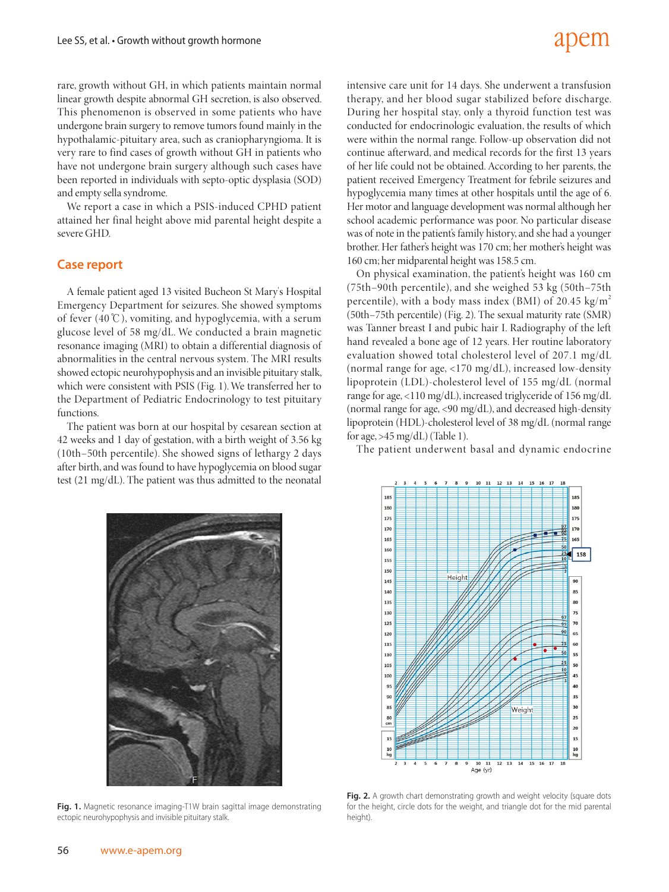#### rare, growth without GH, in which patients maintain normal linear growth despite abnormal GH secretion, is also observed. This phenomenon is observed in some patients who have undergone brain surgery to remove tumors found mainly in the hypothalamic-pituitary area, such as craniopharyngioma. It is very rare to find cases of growth without GH in patients who have not undergone brain surgery although such cases have been reported in individuals with septo-optic dysplasia (SOD) and empty sella syndrome.

We report a case in which a PSIS-induced CPHD patient attained her final height above mid parental height despite a severe GHD.

#### **Case report**

A female patient aged 13 visited Bucheon St Mary's Hospital Emergency Department for seizures. She showed symptoms of fever (40℃), vomiting, and hypoglycemia, with a serum glucose level of 58 mg/dL. We conducted a brain magnetic resonance imaging (MRI) to obtain a differential diagnosis of abnormalities in the central nervous system. The MRI results showed ectopic neurohypophysis and an invisible pituitary stalk, which were consistent with PSIS (Fig. 1). We transferred her to the Department of Pediatric Endocrinology to test pituitary functions.

The patient was born at our hospital by cesarean section at 42 weeks and 1 day of gestation, with a birth weight of 3.56 kg (10th–50th percentile). She showed signs of lethargy 2 days after birth, and was found to have hypoglycemia on blood sugar test (21 mg/dL). The patient was thus admitted to the neonatal

#### intensive care unit for 14 days. She underwent a transfusion therapy, and her blood sugar stabilized before discharge. During her hospital stay, only a thyroid function test was conducted for endocrinologic evaluation, the results of which were within the normal range. Follow-up observation did not continue afterward, and medical records for the first 13 years of her life could not be obtained. According to her parents, the patient received Emergency Treatment for febrile seizures and hypoglycemia many times at other hospitals until the age of 6. Her motor and language development was normal although her school academic performance was poor. No particular disease was of note in the patient's family history, and she had a younger brother. Her father's height was 170 cm; her mother's height was 160 cm; her midparental height was 158.5 cm.

On physical examination, the patient's height was 160 cm (75th–90th percentile), and she weighed 53 kg (50th–75th percentile), with a body mass index (BMI) of 20.45 kg/m<sup>2</sup> (50th–75th percentile) (Fig. 2). The sexual maturity rate (SMR) was Tanner breast I and pubic hair I. Radiography of the left hand revealed a bone age of 12 years. Her routine laboratory evaluation showed total cholesterol level of 207.1 mg/dL (normal range for age, <170 mg/dL), increased low-density lipoprotein (LDL)-cholesterol level of 155 mg/dL (normal range for age, <110 mg/dL), increased triglyceride of 156 mg/dL (normal range for age, <90 mg/dL), and decreased high-density lipoprotein (HDL)-cholesterol level of 38 mg/dL (normal range for age, >45 mg/dL) (Table 1).

The patient underwent basal and dynamic endocrine



**Fig. 1.** Magnetic resonance imaging-T1W brain sagittal image demonstrating ectopic neurohypophysis and invisible pituitary stalk.



Fig. 2. A growth chart demonstrating growth and weight velocity (square dots for the height, circle dots for the weight, and triangle dot for the mid parental height)

# apem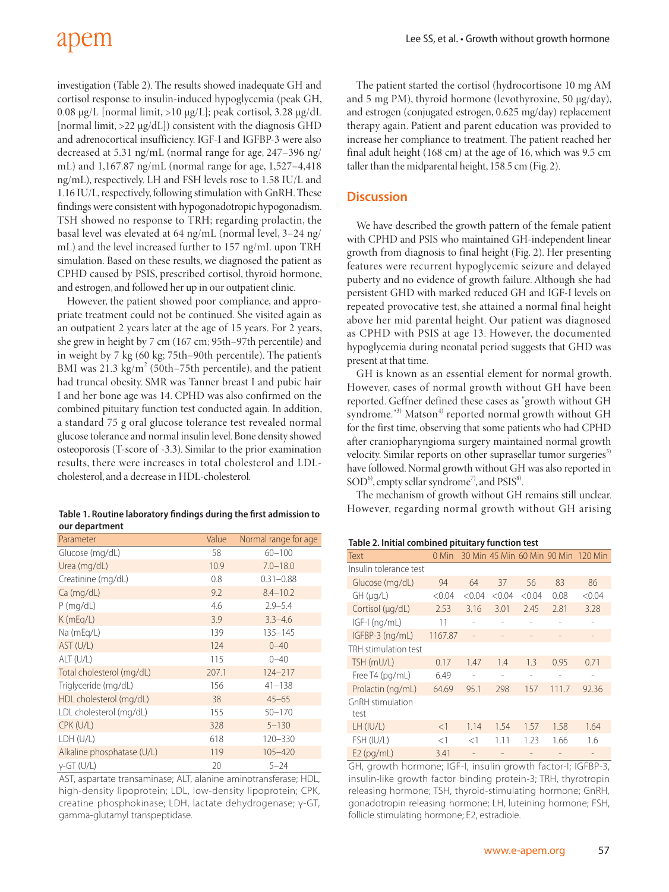# apem

investigation (Table 2). The results showed inadequate GH and cortisol response to insulin-induced hypoglycemia (peak GH, 0.08 μg/L [normal limit, >10 μg/L]; peak cortisol, 3.28 μg/dL [normal limit, >22 μg/dL]) consistent with the diagnosis GHD and adrenocortical insufficiency. IGF-I and IGFBP-3 were also decreased at 5.31 ng/mL (normal range for age, 247–396 ng/ mL) and 1,167.87 ng/mL (normal range for age, 1,527–4,418 ng/mL), respectively. LH and FSH levels rose to 1.58 IU/L and 1.16 IU/L, respectively, following stimulation with GnRH. These findings were consistent with hypogonadotropic hypogonadism. TSH showed no response to TRH; regarding prolactin, the basal level was elevated at 64 ng/mL (normal level, 3–24 ng/ mL) and the level increased further to 157 ng/mL upon TRH simulation. Based on these results, we diagnosed the patient as CPHD caused by PSIS, prescribed cortisol, thyroid hormone, and estrogen, and followed her up in our outpatient clinic.

However, the patient showed poor compliance, and appropriate treatment could not be continued. She visited again as an outpatient 2 years later at the age of 15 years. For 2 years, she grew in height by 7 cm (167 cm; 95th–97th percentile) and in weight by 7 kg (60 kg; 75th–90th percentile). The patient's BMI was  $21.3 \text{ kg/m}^2$  (50th–75th percentile), and the patient had truncal obesity. SMR was Tanner breast I and pubic hair I and her bone age was 14. CPHD was also confirmed on the combined pituitary function test conducted again. In addition, a standard 75 g oral glucose tolerance test revealed normal glucose tolerance and normal insulin level. Bone density showed osteoporosis (T-score of -3.3). Similar to the prior examination results, there were increases in total cholesterol and LDLcholesterol, and a decrease in HDL-cholesterol.

| Table 1. Routine laboratory findings during the first admission to |
|--------------------------------------------------------------------|
| our department                                                     |

| Parameter                  | Value | Normal range for age |  |  |  |
|----------------------------|-------|----------------------|--|--|--|
| Glucose (mg/dL)            | 58    | $60 - 100$           |  |  |  |
| Urea (mg/dL)               | 10.9  | $7.0 - 18.0$         |  |  |  |
| Creatinine (mg/dL)         | 0.8   | $0.31 - 0.88$        |  |  |  |
| Ca (mg/dL)                 | 9.2   | $8.4 - 10.2$         |  |  |  |
| $P$ (mg/dL)                | 4.6   | $2.9 - 5.4$          |  |  |  |
| K(mEq/L)                   | 3.9   | $3.3 - 4.6$          |  |  |  |
| Na (mEg/L)                 | 139   | 135-145              |  |  |  |
| AST (U/L)                  | 124   | $0 - 40$             |  |  |  |
| ALT(U/L)                   | 115   | $0 - 40$             |  |  |  |
| Total cholesterol (mg/dL)  | 207.1 | $124 - 217$          |  |  |  |
| Triglyceride (mg/dL)       | 156   | $41 - 138$           |  |  |  |
| HDL cholesterol (mg/dL)    | 38    | $45 - 65$            |  |  |  |
| LDL cholesterol (mg/dL)    | 155   | $50 - 170$           |  |  |  |
| CPK (U/L)                  | 328   | $5 - 130$            |  |  |  |
| LDH (U/L)                  | 618   | 120-330              |  |  |  |
| Alkaline phosphatase (U/L) | 119   | 105-420              |  |  |  |
| $v$ -GT (U/L)              | 20    | $5 - 24$             |  |  |  |

AST, aspartate transaminase; ALT, alanine aminotransferase; HDL, high-density lipoprotein; LDL, low-density lipoprotein; CPK, creatine phosphokinase; LDH, lactate dehydrogenase; γ-GT, gamma-glutamyl transpeptidase.

The patient started the cortisol (hydrocortisone 10 mg AM and 5 mg PM), thyroid hormone (levothyroxine, 50 μg/day), and estrogen (conjugated estrogen, 0.625 mg/day) replacement therapy again. Patient and parent education was provided to increase her compliance to treatment. The patient reached her final adult height (168 cm) at the age of 16, which was 9.5 cm taller than the midparental height, 158.5 cm (Fig. 2).

### **Discussion**

We have described the growth pattern of the female patient with CPHD and PSIS who maintained GH-independent linear growth from diagnosis to final height (Fig. 2). Her presenting features were recurrent hypoglycemic seizure and delayed puberty and no evidence of growth failure. Although she had persistent GHD with marked reduced GH and IGF-I levels on repeated provocative test, she attained a normal final height above her mid parental height. Our patient was diagnosed as CPHD with PSIS at age 13. However, the documented hypoglycemia during neonatal period suggests that GHD was present at that time.

GH is known as an essential element for normal growth. However, cases of normal growth without GH have been reported. Geffner defined these cases as "growth without GH syndrome."<sup>3)</sup> Matson<sup>4)</sup> reported normal growth without GH for the first time, observing that some patients who had CPHD after craniopharyngioma surgery maintained normal growth velocity. Similar reports on other suprasellar tumor surgeries<sup>5)</sup> have followed. Normal growth without GH was also reported in  $SOD<sup>6</sup>$ , empty sellar syndrome<sup>7</sup>, and PSIS<sup>8</sup>. .

The mechanism of growth without GH remains still unclear. However, regarding normal growth without GH arising

| Table 2. Initial combined pituitary function test |  |  |
|---------------------------------------------------|--|--|
|---------------------------------------------------|--|--|

| <b>Text</b>              | 0 Min   |        |        |        | 30 Min 45 Min 60 Min 90 Min | 120 Min |
|--------------------------|---------|--------|--------|--------|-----------------------------|---------|
| Insulin tolerance test   |         |        |        |        |                             |         |
| Glucose (mg/dL)          | 94      | 64     | 37     | 56     | 83                          | 86      |
| $GH$ ( $\mu$ g/L)        | < 0.04  | < 0.04 | < 0.04 | < 0.04 | 0.08                        | < 0.04  |
| Cortisol (µg/dL)         | 2.53    | 3.16   | 3.01   | 2.45   | 2.81                        | 3.28    |
| IGF-I (ng/mL)            | 11      |        |        |        |                             |         |
| IGFBP-3 (ng/mL)          | 1167.87 |        |        |        |                             |         |
| TRH stimulation test     |         |        |        |        |                             |         |
| TSH (mU/L)               | 0.17    | 1.47   | 1.4    | 1.3    | 0.95                        | 0.71    |
| Free T4 (pg/mL)          | 6.49    |        |        |        |                             |         |
| Prolactin (ng/mL)        | 64.69   | 95.1   | 298    | 157    | 111.7                       | 92.36   |
| GnRH stimulation<br>test |         |        |        |        |                             |         |
| $LH$ (IU/L)              | <1      | 1.14   | 1.54   | 1.57   | 1.58                        | 1.64    |
| FSH (IU/L)               | <1      | $<$ 1  | 1.11   | 1.23   | 1.66                        | 1.6     |
| $E2$ (pg/mL)             | 3.41    |        |        |        |                             |         |

GH, growth hormone; IGF-I, insulin growth factor-I; IGFBP-3, insulin-like growth factor binding protein-3; TRH, thyrotropin releasing hormone; TSH, thyroid-stimulating hormone; GnRH, gonadotropin releasing hormone; LH, luteining hormone; FSH, follicle stimulating hormone; E2, estradiole.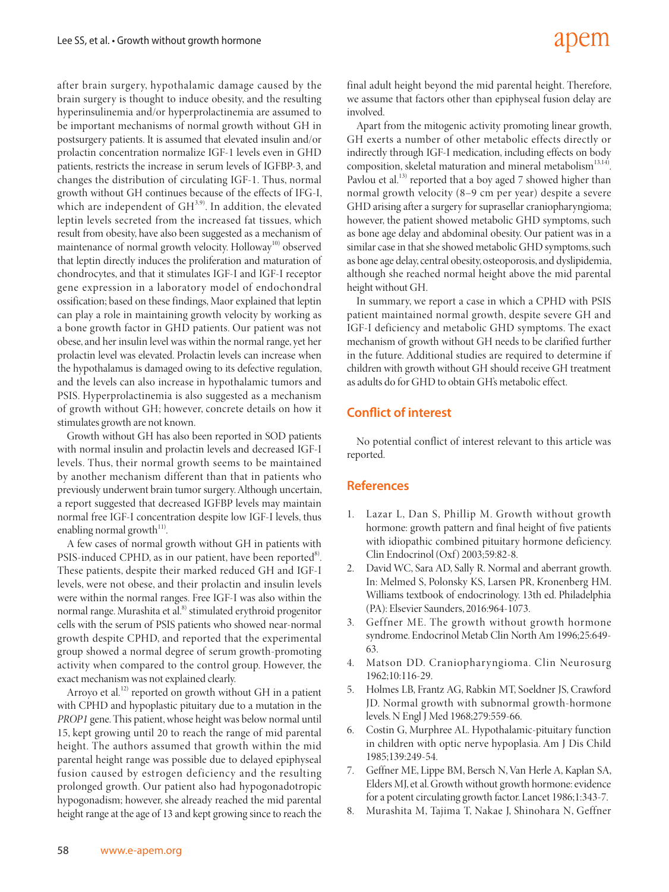after brain surgery, hypothalamic damage caused by the brain surgery is thought to induce obesity, and the resulting hyperinsulinemia and/or hyperprolactinemia are assumed to be important mechanisms of normal growth without GH in postsurgery patients. It is assumed that elevated insulin and/or prolactin concentration normalize IGF-1 levels even in GHD patients, restricts the increase in serum levels of IGFBP-3, and changes the distribution of circulating IGF-1. Thus, normal growth without GH continues because of the effects of IFG-I, which are independent of  $GH^{3,9}$ . In addition, the elevated leptin levels secreted from the increased fat tissues, which result from obesity, have also been suggested as a mechanism of maintenance of normal growth velocity. Holloway<sup>10)</sup> observed that leptin directly induces the proliferation and maturation of chondrocytes, and that it stimulates IGF-I and IGF-I receptor gene expression in a laboratory model of endochondral ossification; based on these findings, Maor explained that leptin can play a role in maintaining growth velocity by working as a bone growth factor in GHD patients. Our patient was not obese, and her insulin level was within the normal range, yet her prolactin level was elevated. Prolactin levels can increase when the hypothalamus is damaged owing to its defective regulation, and the levels can also increase in hypothalamic tumors and PSIS. Hyperprolactinemia is also suggested as a mechanism of growth without GH; however, concrete details on how it stimulates growth are not known.

Growth without GH has also been reported in SOD patients with normal insulin and prolactin levels and decreased IGF-I levels. Thus, their normal growth seems to be maintained by another mechanism different than that in patients who previously underwent brain tumor surgery. Although uncertain, a report suggested that decreased IGFBP levels may maintain normal free IGF-I concentration despite low IGF-I levels, thus enabling normal growth $11$ <sup>11)</sup>.

A few cases of normal growth without GH in patients with PSIS-induced CPHD, as in our patient, have been reported<sup>8)</sup>. These patients, despite their marked reduced GH and IGF-I levels, were not obese, and their prolactin and insulin levels were within the normal ranges. Free IGF-I was also within the normal range. Murashita et al.<sup>8)</sup> stimulated erythroid progenitor cells with the serum of PSIS patients who showed near-normal growth despite CPHD, and reported that the experimental group showed a normal degree of serum growth-promoting activity when compared to the control group. However, the exact mechanism was not explained clearly.

Arroyo et al.<sup>12)</sup> reported on growth without GH in a patient with CPHD and hypoplastic pituitary due to a mutation in the *PROP1* gene. This patient, whose height was below normal until 15, kept growing until 20 to reach the range of mid parental height. The authors assumed that growth within the mid parental height range was possible due to delayed epiphyseal fusion caused by estrogen deficiency and the resulting prolonged growth. Our patient also had hypogonadotropic hypogonadism; however, she already reached the mid parental height range at the age of 13 and kept growing since to reach the

# adem

final adult height beyond the mid parental height. Therefore, we assume that factors other than epiphyseal fusion delay are involved.

Apart from the mitogenic activity promoting linear growth, GH exerts a number of other metabolic effects directly or indirectly through IGF-I medication, including effects on body composition, skeletal maturation and mineral metabolism<sup>13,14)</sup> Pavlou et al.<sup>13)</sup> reported that a boy aged 7 showed higher than normal growth velocity (8–9 cm per year) despite a severe GHD arising after a surgery for suprasellar craniopharyngioma; however, the patient showed metabolic GHD symptoms, such as bone age delay and abdominal obesity. Our patient was in a similar case in that she showed metabolic GHD symptoms, such as bone age delay, central obesity, osteoporosis, and dyslipidemia, although she reached normal height above the mid parental height without GH.

In summary, we report a case in which a CPHD with PSIS patient maintained normal growth, despite severe GH and IGF-I deficiency and metabolic GHD symptoms. The exact mechanism of growth without GH needs to be clarified further in the future. Additional studies are required to determine if children with growth without GH should receive GH treatment as adults do for GHD to obtain GH's metabolic effect.

## **Conflict of interest**

No potential conflict of interest relevant to this article was reported.

## **References**

- 1. Lazar L, Dan S, Phillip M. Growth without growth hormone: growth pattern and final height of five patients with idiopathic combined pituitary hormone deficiency. Clin Endocrinol (Oxf) 2003;59:82-8.
- 2. David WC, Sara AD, Sally R. Normal and aberrant growth. In: Melmed S, Polonsky KS, Larsen PR, Kronenberg HM. Williams textbook of endocrinology. 13th ed. Philadelphia (PA): Elsevier Saunders, 2016:964-1073.
- 3. Geffner ME. The growth without growth hormone syndrome. Endocrinol Metab Clin North Am 1996;25:649- 63.
- 4. Matson DD. Craniopharyngioma. Clin Neurosurg 1962;10:116-29.
- 5. Holmes LB, Frantz AG, Rabkin MT, Soeldner JS, Crawford JD. Normal growth with subnormal growth-hormone levels. N Engl J Med 1968;279:559-66.
- 6. Costin G, Murphree AL. Hypothalamic-pituitary function in children with optic nerve hypoplasia. Am J Dis Child 1985;139:249-54.
- 7. Geffner ME, Lippe BM, Bersch N, Van Herle A, Kaplan SA, Elders MJ, et al. Growth without growth hormone: evidence for a potent circulating growth factor. Lancet 1986;1:343-7.
- 8. Murashita M, Tajima T, Nakae J, Shinohara N, Geffner